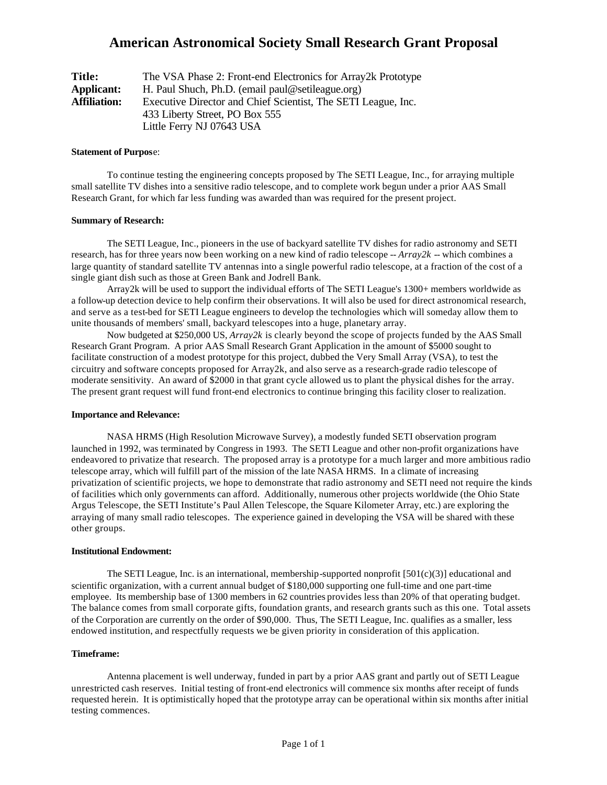## **American Astronomical Society Small Research Grant Proposal**

| Title:              | The VSA Phase 2: Front-end Electronics for Array 2k Prototype |  |
|---------------------|---------------------------------------------------------------|--|
| <b>Applicant:</b>   | H. Paul Shuch, Ph.D. (email paul@setileague.org)              |  |
| <b>Affiliation:</b> | Executive Director and Chief Scientist, The SETI League, Inc. |  |
|                     | 433 Liberty Street, PO Box 555                                |  |
|                     | Little Ferry NJ 07643 USA                                     |  |

#### **Statement of Purpos**e:

To continue testing the engineering concepts proposed by The SETI League, Inc., for arraying multiple small satellite TV dishes into a sensitive radio telescope, and to complete work begun under a prior AAS Small Research Grant, for which far less funding was awarded than was required for the present project.

## **Summary of Research:**

The SETI League, Inc., pioneers in the use of backyard satellite TV dishes for radio astronomy and SETI research, has for three years now been working on a new kind of radio telescope -- *Array2k* -- which combines a large quantity of standard satellite TV antennas into a single powerful radio telescope, at a fraction of the cost of a single giant dish such as those at Green Bank and Jodrell Bank.

Array2k will be used to support the individual efforts of The SETI League's 1300+ members worldwide as a follow-up detection device to help confirm their observations. It will also be used for direct astronomical research, and serve as a test-bed for SETI League engineers to develop the technologies which will someday allow them to unite thousands of members' small, backyard telescopes into a huge, planetary array.

Now budgeted at \$250,000 US, *Array2k* is clearly beyond the scope of projects funded by the AAS Small Research Grant Program. A prior AAS Small Research Grant Application in the amount of \$5000 sought to facilitate construction of a modest prototype for this project, dubbed the Very Small Array (VSA), to test the circuitry and software concepts proposed for Array2k, and also serve as a research-grade radio telescope of moderate sensitivity. An award of \$2000 in that grant cycle allowed us to plant the physical dishes for the array. The present grant request will fund front-end electronics to continue bringing this facility closer to realization.

#### **Importance and Relevance:**

NASA HRMS (High Resolution Microwave Survey), a modestly funded SETI observation program launched in 1992, was terminated by Congress in 1993. The SETI League and other non-profit organizations have endeavored to privatize that research. The proposed array is a prototype for a much larger and more ambitious radio telescope array, which will fulfill part of the mission of the late NASA HRMS. In a climate of increasing privatization of scientific projects, we hope to demonstrate that radio astronomy and SETI need not require the kinds of facilities which only governments can afford. Additionally, numerous other projects worldwide (the Ohio State Argus Telescope, the SETI Institute's Paul Allen Telescope, the Square Kilometer Array, etc.) are exploring the arraying of many small radio telescopes. The experience gained in developing the VSA will be shared with these other groups.

#### **Institutional Endowment:**

The SETI League, Inc. is an international, membership-supported nonprofit  $[501(c)(3)]$  educational and scientific organization, with a current annual budget of \$180,000 supporting one full-time and one part-time employee. Its membership base of 1300 members in 62 countries provides less than 20% of that operating budget. The balance comes from small corporate gifts, foundation grants, and research grants such as this one. Total assets of the Corporation are currently on the order of \$90,000. Thus, The SETI League, Inc. qualifies as a smaller, less endowed institution, and respectfully requests we be given priority in consideration of this application.

#### **Timeframe:**

Antenna placement is well underway, funded in part by a prior AAS grant and partly out of SETI League unrestricted cash reserves. Initial testing of front-end electronics will commence six months after receipt of funds requested herein. It is optimistically hoped that the prototype array can be operational within six months after initial testing commences.